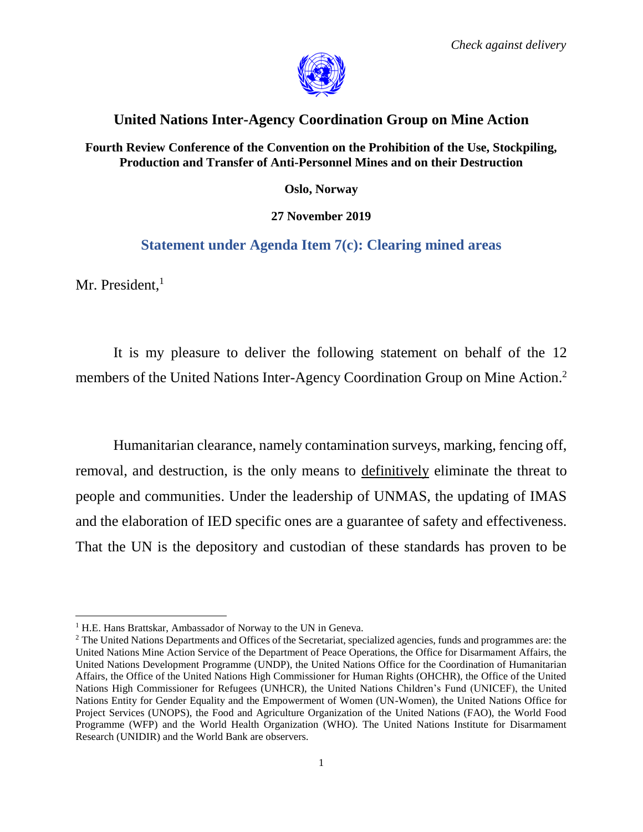

## **United Nations Inter-Agency Coordination Group on Mine Action**

**Fourth Review Conference of the Convention on the Prohibition of the Use, Stockpiling, Production and Transfer of Anti-Personnel Mines and on their Destruction**

**Oslo, Norway**

## **27 November 2019**

## **Statement under Agenda Item 7(c): Clearing mined areas**

Mr. President, $<sup>1</sup>$ </sup>

 $\overline{\phantom{a}}$ 

It is my pleasure to deliver the following statement on behalf of the 12 members of the United Nations Inter-Agency Coordination Group on Mine Action.<sup>2</sup>

Humanitarian clearance, namely contamination surveys, marking, fencing off, removal, and destruction, is the only means to definitively eliminate the threat to people and communities. Under the leadership of UNMAS, the updating of IMAS and the elaboration of IED specific ones are a guarantee of safety and effectiveness. That the UN is the depository and custodian of these standards has proven to be

<sup>&</sup>lt;sup>1</sup> H.E. Hans Brattskar, Ambassador of Norway to the UN in Geneva.

<sup>&</sup>lt;sup>2</sup> The United Nations Departments and Offices of the Secretariat, specialized agencies, funds and programmes are: the United Nations Mine Action Service of the Department of Peace Operations, the Office for Disarmament Affairs, the United Nations Development Programme (UNDP), the United Nations Office for the Coordination of Humanitarian Affairs, the Office of the United Nations High Commissioner for Human Rights (OHCHR), the Office of the United Nations High Commissioner for Refugees (UNHCR), the United Nations Children's Fund (UNICEF), the United Nations Entity for Gender Equality and the Empowerment of Women (UN-Women), the United Nations Office for Project Services (UNOPS), the Food and Agriculture Organization of the United Nations (FAO), the World Food Programme (WFP) and the World Health Organization (WHO). The United Nations Institute for Disarmament Research (UNIDIR) and the World Bank are observers.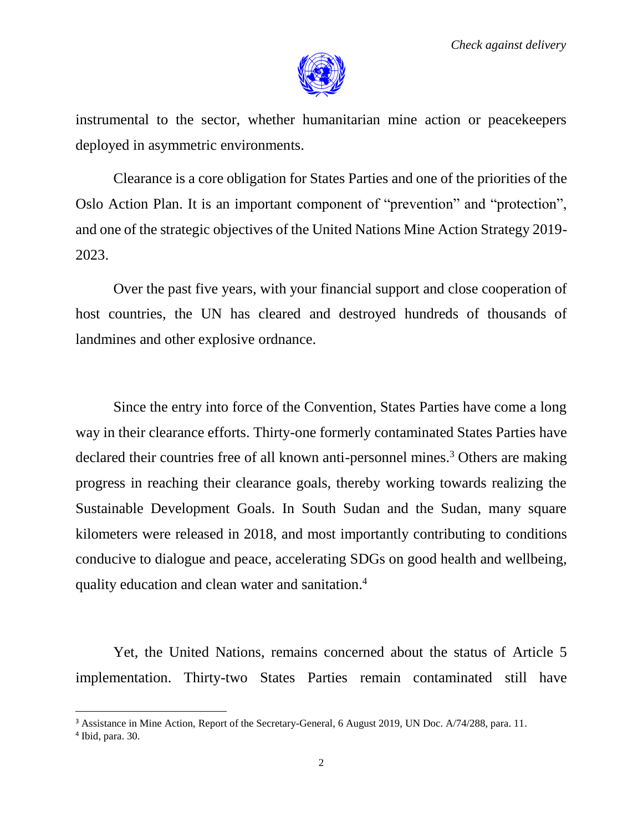

instrumental to the sector, whether humanitarian mine action or peacekeepers deployed in asymmetric environments.

Clearance is a core obligation for States Parties and one of the priorities of the Oslo Action Plan. It is an important component of "prevention" and "protection", and one of the strategic objectives of the United Nations Mine Action Strategy 2019- 2023.

Over the past five years, with your financial support and close cooperation of host countries, the UN has cleared and destroyed hundreds of thousands of landmines and other explosive ordnance.

Since the entry into force of the Convention, States Parties have come a long way in their clearance efforts. Thirty-one formerly contaminated States Parties have declared their countries free of all known anti-personnel mines.<sup>3</sup> Others are making progress in reaching their clearance goals, thereby working towards realizing the Sustainable Development Goals. In South Sudan and the Sudan, many square kilometers were released in 2018, and most importantly contributing to conditions conducive to dialogue and peace, accelerating SDGs on good health and wellbeing, quality education and clean water and sanitation.<sup>4</sup>

Yet, the United Nations, remains concerned about the status of Article 5 implementation. Thirty-two States Parties remain contaminated still have

 $\overline{a}$ 

<sup>&</sup>lt;sup>3</sup> Assistance in Mine Action, Report of the Secretary-General, 6 August 2019, UN Doc. A/74/288, para. 11.

<sup>4</sup> Ibid, para. 30.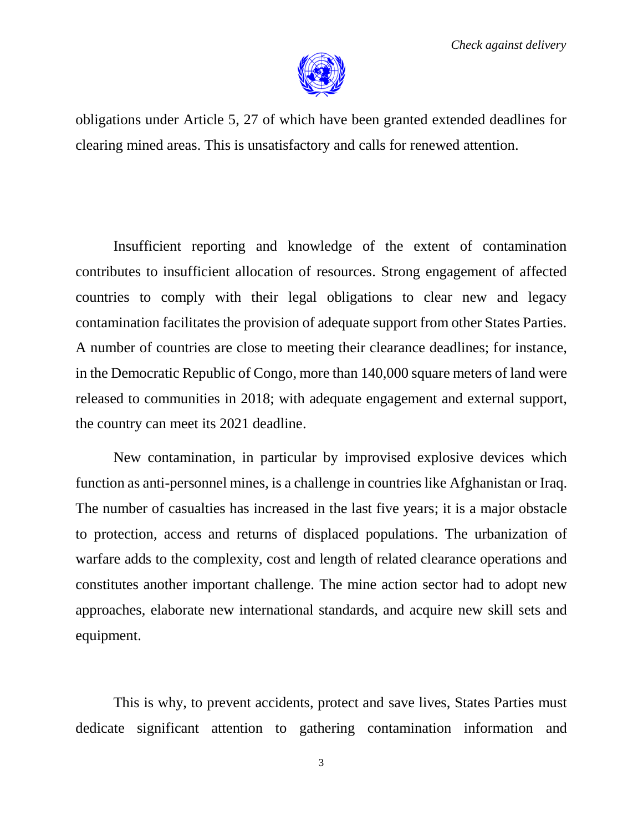

obligations under Article 5, 27 of which have been granted extended deadlines for clearing mined areas. This is unsatisfactory and calls for renewed attention.

Insufficient reporting and knowledge of the extent of contamination contributes to insufficient allocation of resources. Strong engagement of affected countries to comply with their legal obligations to clear new and legacy contamination facilitates the provision of adequate support from other States Parties. A number of countries are close to meeting their clearance deadlines; for instance, in the Democratic Republic of Congo, more than 140,000 square meters of land were released to communities in 2018; with adequate engagement and external support, the country can meet its 2021 deadline.

New contamination, in particular by improvised explosive devices which function as anti-personnel mines, is a challenge in countries like Afghanistan or Iraq. The number of casualties has increased in the last five years; it is a major obstacle to protection, access and returns of displaced populations. The urbanization of warfare adds to the complexity, cost and length of related clearance operations and constitutes another important challenge. The mine action sector had to adopt new approaches, elaborate new international standards, and acquire new skill sets and equipment.

This is why, to prevent accidents, protect and save lives, States Parties must dedicate significant attention to gathering contamination information and